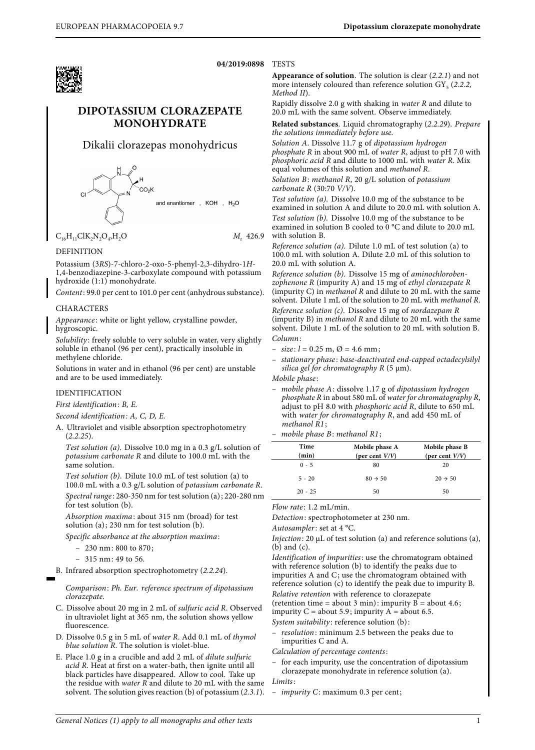

**04/2019:0898** TESTS

# **DIPOTASSIUM CLORAZEPATE MONOHYDRATE**

# Dikalii clorazepas monohydricus



 $C_{16}H_{11}ClK_2N_2O_4H_2O$   $M_r$  426.9

# DEFINITION

Potassium (3RS)-7-chloro-2-oxo-5-phenyl-2,3-dihydro-1H-1,4-benzodiazepine-3-carboxylate compound with potassium hydroxide (1:1) monohydrate.

Content: 99.0 per cent to 101.0 per cent (anhydrous substance).

### CHARACTERS

Appearance: white or light yellow, crystalline powder, hygroscopic.

Solubility: freely soluble to very soluble in water, very slightly soluble in ethanol (96 per cent), practically insoluble in methylene chloride.

Solutions in water and in ethanol (96 per cent) are unstable and are to be used immediately.

#### IDENTIFICATION

First identification: B, E.

Second identification: A, C, D, E.

A. Ultraviolet and visible absorption spectrophotometry  $(2.2.25).$ 

Test solution (a). Dissolve 10.0 mg in a 0.3 g/L solution of potassium carbonate R and dilute to 100.0 mL with the same solution.

Test solution (b). Dilute 10.0 mL of test solution (a) to 100.0 mL with a 0.3 g/L solution of potassium carbonate R.

Spectral range : 280-350 nm for test solution (a); 220-280 nm for test solution (b).

Absorption maxima: about 315 nm (broad) for test solution (a); 230 nm for test solution (b).

Specific absorbance at the absorption maxima:

- 230 nm: 800 to 870;
- 315 nm: 49 to 56.

B. Infrared absorption spectrophotometry (2.2.24).

Comparison: Ph. Eur. reference spectrum of dipotassium clorazepate.

- C. Dissolve about 20 mg in 2 mL of sulfuric acid R. Observed in ultraviolet light at 365 nm, the solution shows yellow fluorescence.
- D. Dissolve 0.5 g in 5 mL of water R. Add 0.1 mL of thymol blue solution R. The solution is violet-blue.
- E. Place 1.0 g in a crucible and add 2 mL of dilute sulfuric acid R. Heat at first on a water-bath, then ignite until all black particles have disappeared. Allow to cool. Take up the residue with water R and dilute to 20 mL with the same solvent. The solution gives reaction (b) of potassium (2.3.1).

**Appearance of solution**. The solution is clear (2.2.1) and not more intensely coloured than reference solution  $GY_5$  (2.2.2, Method II).

Rapidly dissolve 2.0 g with shaking in water R and dilute to 20.0 mL with the same solvent. Observe immediately.

**Related substances**. Liquid chromatography (2.2.29). Prepare the solutions immediately before use.

Solution A. Dissolve 11.7 g of dipotassium hydrogen phosphate R in about 900 mL of water R, adjust to pH 7.0 with phosphoric acid R and dilute to 1000 mL with water R. Mix equal volumes of this solution and methanol R.

Solution B: methanol R, 20 g/L solution of potassium carbonate R (30:70 V/V).

Test solution (a). Dissolve 10.0 mg of the substance to be examined in solution A and dilute to 20.0 mL with solution A. Test solution (b). Dissolve 10.0 mg of the substance to be examined in solution B cooled to 0 °C and dilute to 20.0 mL with solution B.

Reference solution (a). Dilute 1.0 mL of test solution (a) to 100.0 mL with solution A. Dilute 2.0 mL of this solution to 20.0 mL with solution A.

Reference solution (b). Dissolve 15 mg of aminochlorobenzophenone R (impurity A) and 15 mg of ethyl clorazepate R (impurity C) in methanol R and dilute to 20 mL with the same solvent. Dilute 1 mL of the solution to 20 mL with methanol R. Reference solution (c). Dissolve 15 mg of nordazepam R (impurity B) in methanol R and dilute to 20 mL with the same solvent. Dilute 1 mL of the solution to 20 mL with solution B. Column:

- $-$  size:  $l = 0.25$  m,  $\varnothing = 4.6$  mm;
- stationary phase : base-deactivated end-capped octadecylsilyl silica gel for chromatography  $R$  (5  $\mu$ m).

Mobile phase :

– mobile phase A: dissolve 1.17 g of dipotassium hydrogen phosphate R in about 580 mL of water for chromatography R, adjust to pH 8.0 with *phosphoric acid R*, dilute to  $\frac{650 \text{ mL}}{2}$ with water for chromatography R, and add 450 mL of methanol R1;

mobile phase B: methanol R1;

| Time      | Mobile phase A      | Mobile phase B    |
|-----------|---------------------|-------------------|
| (min)     | (per cent $V/V$ )   | (per cent $V/V$ ) |
| $0 - 5$   | 80                  | 20                |
| $5 - 20$  | $80 \rightarrow 50$ | $20 \div 50$      |
| $20 - 25$ | 50                  | 50                |

Flow rate: 1.2 mL/min.

Detection: spectrophotometer at 230 nm.

Autosampler: set at 4 °C.

Injection: 20 μL of test solution (a) and reference solutions (a), (b) and (c).

Identification of impurities: use the chromatogram obtained with reference solution (b) to identify the peaks due to impurities A and C; use the chromatogram obtained with reference solution (c) to identify the peak due to impurity B. Relative retention with reference to clorazepate

(retention time = about 3 min): impurity  $\overline{B}$  = about 4.6;

impurity  $C =$  about 5.9; impurity  $A =$  about 6.5.

System suitability: reference solution (b):

resolution: minimum 2.5 between the peaks due to impurities C and A.

Calculation of percentage contents:

for each impurity, use the concentration of dipotassium clorazepate monohydrate in reference solution (a).

Limits:

– impurity C: maximum 0.3 per cent;